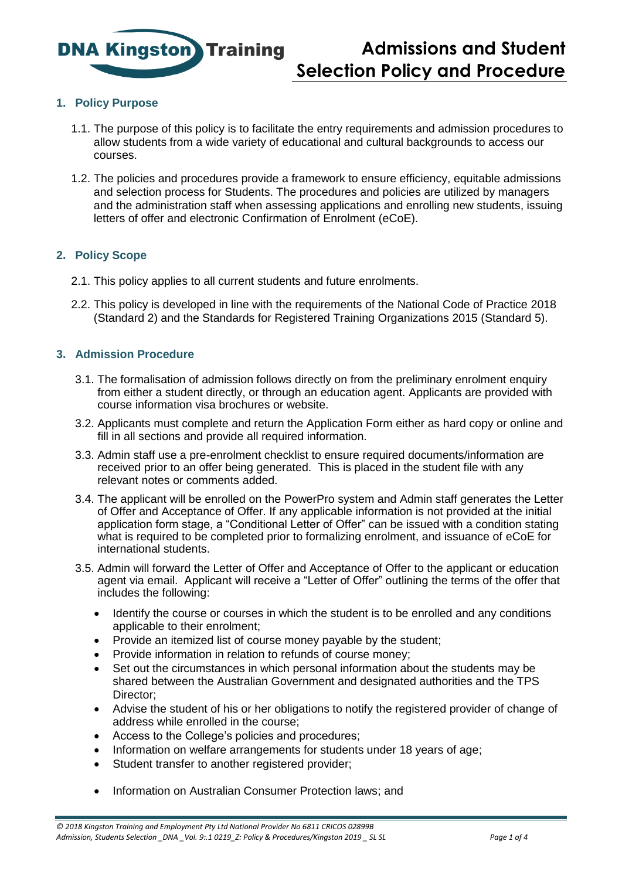

# **1. Policy Purpose**

- 1.1. The purpose of this policy is to facilitate the entry requirements and admission procedures to allow students from a wide variety of educational and cultural backgrounds to access our courses.
- 1.2. The policies and procedures provide a framework to ensure efficiency, equitable admissions and selection process for Students. The procedures and policies are utilized by managers and the administration staff when assessing applications and enrolling new students, issuing letters of offer and electronic Confirmation of Enrolment (eCoE).

# **2. Policy Scope**

- 2.1. This policy applies to all current students and future enrolments.
- 2.2. This policy is developed in line with the requirements of the National Code of Practice 2018 (Standard 2) and the Standards for Registered Training Organizations 2015 (Standard 5).

## **3. Admission Procedure**

- 3.1. The formalisation of admission follows directly on from the preliminary enrolment enquiry from either a student directly, or through an education agent. Applicants are provided with course information visa brochures or website.
- 3.2. Applicants must complete and return the Application Form either as hard copy or online and fill in all sections and provide all required information.
- 3.3. Admin staff use a pre-enrolment checklist to ensure required documents/information are received prior to an offer being generated. This is placed in the student file with any relevant notes or comments added.
- 3.4. The applicant will be enrolled on the PowerPro system and Admin staff generates the Letter of Offer and Acceptance of Offer. If any applicable information is not provided at the initial application form stage, a "Conditional Letter of Offer" can be issued with a condition stating what is required to be completed prior to formalizing enrolment, and issuance of eCoE for international students.
- 3.5. Admin will forward the Letter of Offer and Acceptance of Offer to the applicant or education agent via email. Applicant will receive a "Letter of Offer" outlining the terms of the offer that includes the following:
	- Identify the course or courses in which the student is to be enrolled and any conditions applicable to their enrolment;
	- Provide an itemized list of course money payable by the student;
	- Provide information in relation to refunds of course money;
	- Set out the circumstances in which personal information about the students may be shared between the Australian Government and designated authorities and the TPS Director:
	- Advise the student of his or her obligations to notify the registered provider of change of address while enrolled in the course;
	- Access to the College's policies and procedures;
	- Information on welfare arrangements for students under 18 years of age;
	- Student transfer to another registered provider;
	- Information on Australian Consumer Protection laws; and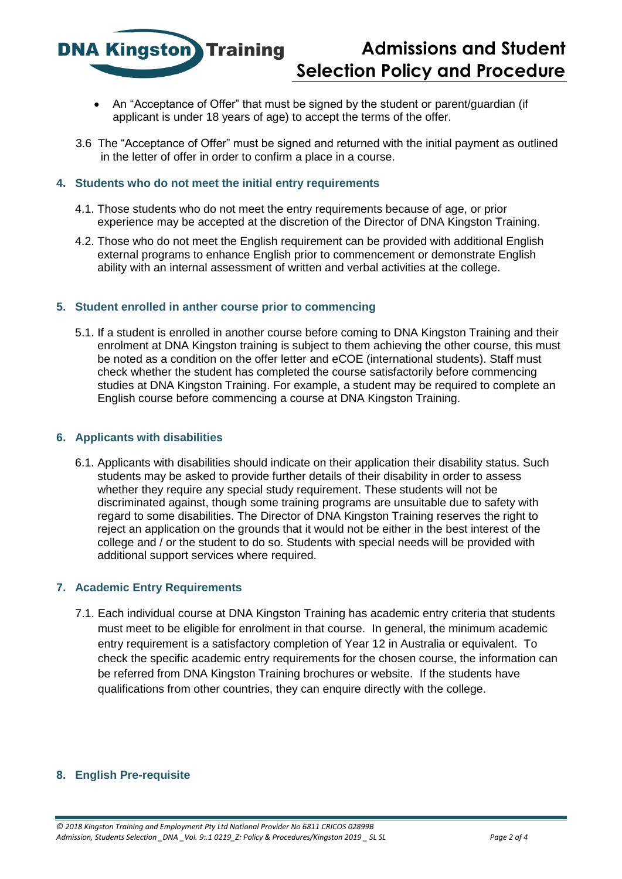**Admissions and Student Selection Policy and Procedure**

- An "Acceptance of Offer" that must be signed by the student or parent/guardian (if applicant is under 18 years of age) to accept the terms of the offer.
- 3.6 The "Acceptance of Offer" must be signed and returned with the initial payment as outlined in the letter of offer in order to confirm a place in a course.

#### **4. Students who do not meet the initial entry requirements**

**DNA Kingston** Training

- 4.1. Those students who do not meet the entry requirements because of age, or prior experience may be accepted at the discretion of the Director of DNA Kingston Training.
- 4.2. Those who do not meet the English requirement can be provided with additional English external programs to enhance English prior to commencement or demonstrate English ability with an internal assessment of written and verbal activities at the college.

#### **5. Student enrolled in anther course prior to commencing**

5.1. If a student is enrolled in another course before coming to DNA Kingston Training and their enrolment at DNA Kingston training is subject to them achieving the other course, this must be noted as a condition on the offer letter and eCOE (international students). Staff must check whether the student has completed the course satisfactorily before commencing studies at DNA Kingston Training. For example, a student may be required to complete an English course before commencing a course at DNA Kingston Training.

#### **6. Applicants with disabilities**

6.1. Applicants with disabilities should indicate on their application their disability status. Such students may be asked to provide further details of their disability in order to assess whether they require any special study requirement. These students will not be discriminated against, though some training programs are unsuitable due to safety with regard to some disabilities. The Director of DNA Kingston Training reserves the right to reject an application on the grounds that it would not be either in the best interest of the college and / or the student to do so. Students with special needs will be provided with additional support services where required.

#### **7. Academic Entry Requirements**

7.1. Each individual course at DNA Kingston Training has academic entry criteria that students must meet to be eligible for enrolment in that course. In general, the minimum academic entry requirement is a satisfactory completion of Year 12 in Australia or equivalent. To check the specific academic entry requirements for the chosen course, the information can be referred from DNA Kingston Training brochures or website. If the students have qualifications from other countries, they can enquire directly with the college.

#### **8. English Pre-requisite**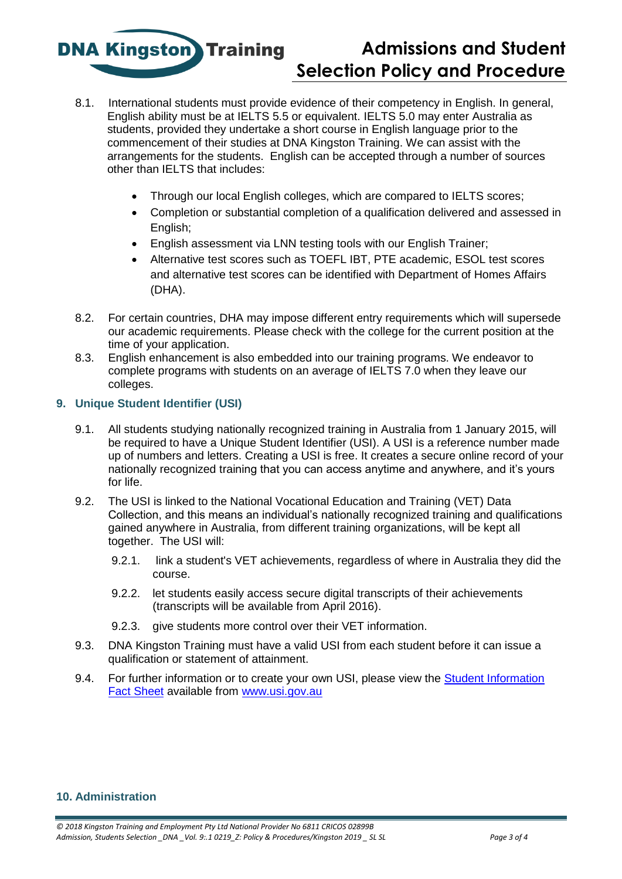**DNA Kingston** Training

# **Admissions and Student Selection Policy and Procedure**

- 8.1. International students must provide evidence of their competency in English. In general, English ability must be at IELTS 5.5 or equivalent. IELTS 5.0 may enter Australia as students, provided they undertake a short course in English language prior to the commencement of their studies at DNA Kingston Training. We can assist with the arrangements for the students. English can be accepted through a number of sources other than IELTS that includes:
	- Through our local English colleges, which are compared to IELTS scores;
	- Completion or substantial completion of a qualification delivered and assessed in English;
	- English assessment via LNN testing tools with our English Trainer;
	- Alternative test scores such as TOEFL IBT, PTE academic, ESOL test scores and alternative test scores can be identified with Department of Homes Affairs (DHA).
- 8.2. For certain countries, DHA may impose different entry requirements which will supersede our academic requirements. Please check with the college for the current position at the time of your application.
- 8.3. English enhancement is also embedded into our training programs. We endeavor to complete programs with students on an average of IELTS 7.0 when they leave our colleges.

## **9. Unique Student Identifier (USI)**

- 9.1. All students studying nationally recognized training in Australia from 1 January 2015, will be required to have a Unique Student Identifier (USI). A USI is a reference number made up of numbers and letters. Creating a USI is free. It creates a secure online record of your nationally recognized training that you can access anytime and anywhere, and it's yours for life.
- 9.2. The USI is linked to the National Vocational Education and Training (VET) Data Collection, and this means an individual's nationally recognized training and qualifications gained anywhere in Australia, from different training organizations, will be kept all together. The USI will:
	- 9.2.1. link a student's VET achievements, regardless of where in Australia they did the course.
	- 9.2.2. let students easily access secure digital transcripts of their achievements (transcripts will be available from April 2016).
	- 9.2.3. give students more control over their VET information.
- 9.3. DNA Kingston Training must have a valid USI from each student before it can issue a qualification or statement of attainment.
- 9.4. For further information or to create your own USI, please view the **Student Information** [Fact Sheet](https://www.usi.gov.au/system/files/documents/usi-factsheet-student-information-for-usi_2.pdf) available from [www.usi.gov.au](http://www.usi.gov.au/)

## **10. Administration**